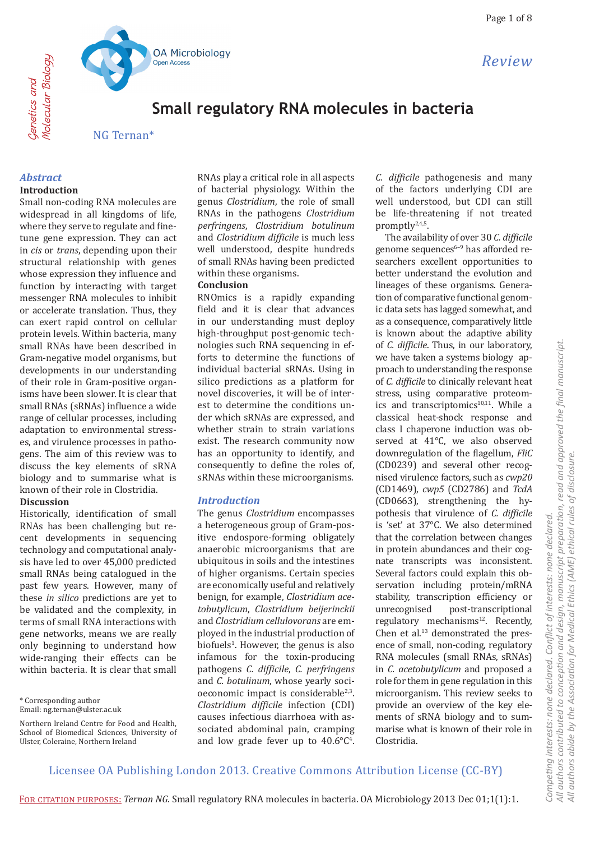

# OA Microbiology Open Access

# **Small regulatory RNA molecules in bacteria**

NG Ternan\*

# *Abstract*

Genetics and Molecular Biology

Cenetics and

Molecular Biology

## **Introduction**

Small non-coding RNA molecules are widespread in all kingdoms of life, where they serve to regulate and finetune gene expression. They can act in *cis* or *trans*, depending upon their structural relationship with genes whose expression they influence and function by interacting with target messenger RNA molecules to inhibit or accelerate translation. Thus, they can exert rapid control on cellular protein levels. Within bacteria, many small RNAs have been described in Gram-negative model organisms, but developments in our understanding of their role in Gram-positive organisms have been slower. It is clear that small RNAs (sRNAs) influence a wide range of cellular processes, including adaptation to environmental stresses, and virulence processes in pathogens. The aim of this review was to discuss the key elements of sRNA biology and to summarise what is known of their role in Clostridia. **Discussion**

Historically, identification of small RNAs has been challenging but recent developments in sequencing technology and computational analysis have led to over 45,000 predicted small RNAs being catalogued in the past few years. However, many of these *in silico* predictions are yet to be validated and the complexity, in terms of small RNA interactions with gene networks, means we are really only beginning to understand how wide-ranging their effects can be within bacteria. It is clear that small

\* Corresponding author

RNAs play a critical role in all aspects of bacterial physiology. Within the genus *Clostridium*, the role of small RNAs in the pathogens *Clostridium perfringens*, *Clostridium botulinum* and *Clostridium difficile* is much less well understood, despite hundreds of small RNAs having been predicted within these organisms.

#### **Conclusion**

RNOmics is a rapidly expanding field and it is clear that advances in our understanding must deploy high-throughput post-genomic technologies such RNA sequencing in efforts to determine the functions of individual bacterial sRNAs. Using in silico predictions as a platform for novel discoveries, it will be of interest to determine the conditions under which sRNAs are expressed, and whether strain to strain variations exist. The research community now has an opportunity to identify, and consequently to define the roles of, sRNAs within these microorganisms.

### *Introduction*

The genus *Clostridium* encompasses a heterogeneous group of Gram-positive endospore-forming obligately anaerobic microorganisms that are ubiquitous in soils and the intestines of higher organisms. Certain species are economically useful and relatively benign, for example, *Clostridium acetobutylicum*, *Clostridium beijerinckii* and *Clostridium cellulovorans* are employed in the industrial production of biofuels<sup>1</sup>. However, the genus is also infamous for the toxin-producing pathogens *C. difficile*, *C. perfringens*  and *C. botulinum*, whose yearly socioeconomic impact is considerable<sup>2,3</sup>. *Clostridium difficile* infection (CDI) causes infectious diarrhoea with associated abdominal pain, cramping and low grade fever up to  $40.6^{\circ}C^{4}$ .

*C. difficile* pathogenesis and many of the factors underlying CDI are well understood, but CDI can still be life-threatening if not treated promptly2,4,5.

The availability of over 30 *C. difficile* genome sequences $6-9$  has afforded researchers excellent opportunities to better understand the evolution and lineages of these organisms. Generation of comparative functional genomic data sets has lagged somewhat, and as a consequence, comparatively little is known about the adaptive ability of *C. difficile*. Thus, in our laboratory, we have taken a systems biology approach to understanding the response of *C. difficile* to clinically relevant heat stress, using comparative proteomics and transcriptomics<sup>10,11</sup>. While a classical heat-shock response and class I chaperone induction was observed at 41°C, we also observed downregulation of the flagellum, *FliC* (CD0239) and several other recognised virulence factors, such as *cwp20* (CD1469), *cwp5* (CD2786) and *TcdA* (CD0663), strengthening the hypothesis that virulence of *C. difficile* is 'set' at 37°C. We also determined that the correlation between changes in protein abundances and their cognate transcripts was inconsistent. Several factors could explain this observation including protein/mRNA stability, transcription efficiency or<br>unrecognised post-transcriptional post-transcriptional regulatory mechanisms<sup>12</sup>. Recently, Chen et al.<sup>13</sup> demonstrated the presence of small, non-coding, regulatory RNA molecules (small RNAs, sRNAs) in *C. acetobutylicum* and proposed a role for them in gene regulation in this microorganism. This review seeks to provide an overview of the key elements of sRNA biology and to summarise what is known of their role in Clostridia.

Email: ng.ternan@ulster.ac.uk

Northern Ireland Centre for Food and Health, School of Biomedical Sciences, University of Ulster, Coleraine, Northern Ireland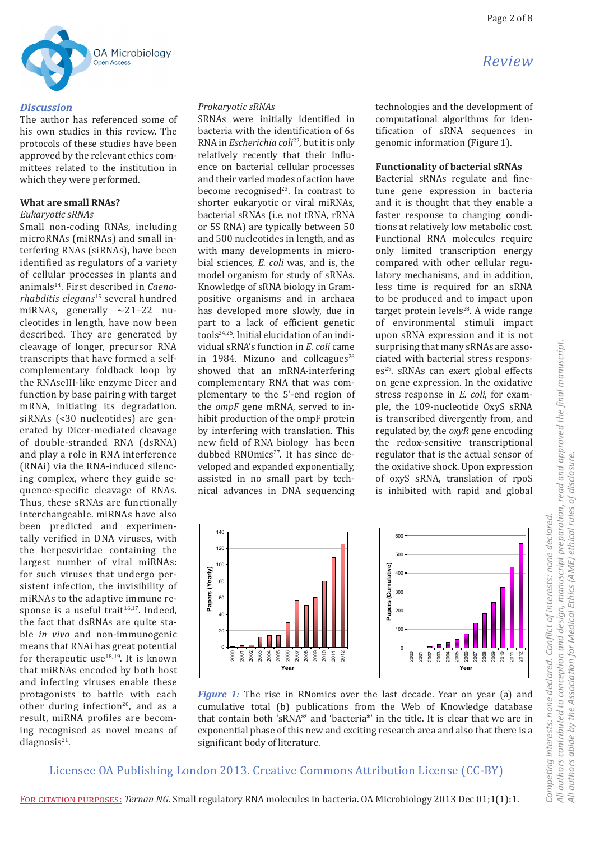

#### *Discussion*

The author has referenced some of his own studies in this review. The protocols of these studies have been approved by the relevant ethics committees related to the institution in which they were performed.

#### **What are small RNAs?**

#### *Eukaryotic sRNAs*

Small non-coding RNAs, including microRNAs (miRNAs) and small interfering RNAs (siRNAs), have been identified as regulators of a variety of cellular processes in plants and animals14. First described in *Caenorhabditis elegans*15 several hundred miRNAs, generally  $\sim$ 21–22 nucleotides in length, have now been described. They are generated by cleavage of longer, precursor RNA transcripts that have formed a selfcomplementary foldback loop by the RNAseIII-like enzyme Dicer and function by base pairing with target mRNA, initiating its degradation. siRNAs (<30 nucleotides) are generated by Dicer-mediated cleavage of double-stranded RNA (dsRNA) and play a role in RNA interference (RNAi) via the RNA-induced silencing complex, where they guide sequence-specific cleavage of RNAs. Thus, these sRNAs are functionally interchangeable. miRNAs have also been predicted and experimentally verified in DNA viruses, with the herpesviridae containing the largest number of viral miRNAs: for such viruses that undergo persistent infection, the invisibility of miRNAs to the adaptive immune response is a useful trait $16,17$ . Indeed, the fact that dsRNAs are quite stable *in vivo* and non-immunogenic means that RNAi has great potential for therapeutic use $18,19$ . It is known that miRNAs encoded by both host and infecting viruses enable these protagonists to battle with each other during infection<sup>20</sup>, and as a result, miRNA profiles are becoming recognised as novel means of diagnosis $21$ .

#### *Prokaryotic sRNAs*

SRNAs were initially identified in bacteria with the identification of 6s RNA in *Escherichia coli*22, but it is only relatively recently that their influence on bacterial cellular processes and their varied modes of action have become recognised $23$ . In contrast to shorter eukaryotic or viral miRNAs, bacterial sRNAs (i.e. not tRNA, rRNA or 5S RNA) are typically between 50 and 500 nucleotides in length, and as with many developments in microbial sciences, *E. coli* was, and is, the model organism for study of sRNAs. Knowledge of sRNA biology in Grampositive organisms and in archaea has developed more slowly, due in part to a lack of efficient genetic tools24,25. Initial elucidation of an individual sRNA's function in *E. coli* came in 1984. Mizuno and colleagues $^{26}$ showed that an mRNA-interfering complementary RNA that was complementary to the 5'-end region of the *ompF* gene mRNA, served to inhibit production of the ompF protein by interfering with translation. This new field of RNA biology has been dubbed RNOmics<sup>27</sup>. It has since developed and expanded exponentially, assisted in no small part by technical advances in DNA sequencing technologies and the development of computational algorithms for identification of sRNA sequences in genomic information (Figure 1).

#### **Functionality of bacterial sRNAs**

Bacterial sRNAs regulate and finetune gene expression in bacteria and it is thought that they enable a faster response to changing conditions at relatively low metabolic cost. Functional RNA molecules require only limited transcription energy compared with other cellular regulatory mechanisms, and in addition, less time is required for an sRNA to be produced and to impact upon target protein levels $28$ . A wide range of environmental stimuli impact upon sRNA expression and it is not surprising that many sRNAs are associated with bacterial stress responses<sup>29</sup>. sRNAs can exert global effects on gene expression. In the oxidative stress response in *E. coli*, for example, the 109-nucleotide OxyS sRNA is transcribed divergently from, and regulated by, the *oxyR* gene encoding the redox-sensitive transcriptional regulator that is the actual sensor of the oxidative shock. Upon expression of oxyS sRNA, translation of rpoS is inhibited with rapid and global





*Figure 1:* The rise in RNomics over the last decade. Year on year (a) and cumulative total (b) publications from the Web of Knowledge database that contain both 'sRNA\*' and 'bacteria\*' in the title. It is clear that we are in exponential phase of this new and exciting research area and also that there is a significant body of literature.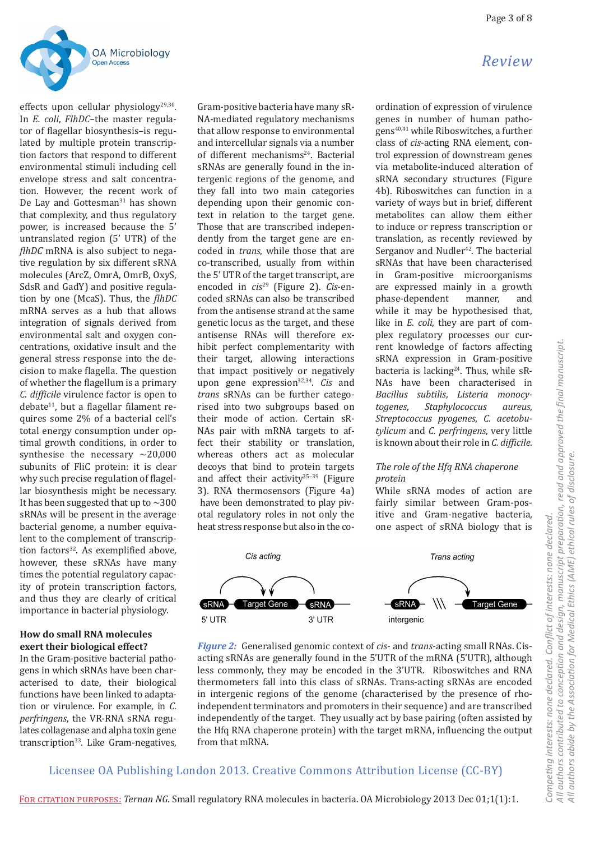

effects upon cellular physiology<sup>29,30</sup>. In *E. coli*, *FlhDC*–the master regulator of flagellar biosynthesis–is regulated by multiple protein transcription factors that respond to different environmental stimuli including cell envelope stress and salt concentration. However, the recent work of De Lay and Gottesman<sup>31</sup> has shown that complexity, and thus regulatory power, is increased because the 5' untranslated region (5' UTR) of the *flhDC* mRNA is also subject to negative regulation by six different sRNA molecules (ArcZ, OmrA, OmrB, OxyS, SdsR and GadY) and positive regulation by one (McaS). Thus, the *flhDC* mRNA serves as a hub that allows integration of signals derived from environmental salt and oxygen concentrations, oxidative insult and the general stress response into the decision to make flagella. The question of whether the flagellum is a primary *C. difficile* virulence factor is open to  $debate<sup>11</sup>$ , but a flagellar filament requires some 2% of a bacterial cell's total energy consumption under optimal growth conditions, in order to synthesise the necessary  $\sim$  20,000 subunits of FliC protein: it is clear why such precise regulation of flagellar biosynthesis might be necessary. It has been suggested that up to  $\sim$  300 sRNAs will be present in the average bacterial genome, a number equivalent to the complement of transcription factors<sup>32</sup>. As exemplified above, however, these sRNAs have many times the potential regulatory capacity of protein transcription factors, and thus they are clearly of critical importance in bacterial physiology.

### **How do small RNA molecules exert their biological effect?**

In the Gram-positive bacterial pathogens in which sRNAs have been characterised to date, their biological functions have been linked to adaptation or virulence. For example, in *C. perfringens*, the VR-RNA sRNA regulates collagenase and alpha toxin gene transcription<sup>33</sup>. Like Gram-negatives,

Gram-positive bacteria have many sR-NA-mediated regulatory mechanisms that allow response to environmental and intercellular signals via a number of different mechanisms<sup>24</sup>. Bacterial sRNAs are generally found in the intergenic regions of the genome, and they fall into two main categories depending upon their genomic context in relation to the target gene. Those that are transcribed independently from the target gene are encoded in *trans*, while those that are co-transcribed, usually from within the 5' UTR of the target transcript, are encoded in *cis*29 (Figure 2). *Cis*-encoded sRNAs can also be transcribed from the antisense strand at the same genetic locus as the target, and these antisense RNAs will therefore exhibit perfect complementarity with their target, allowing interactions that impact positively or negatively upon gene expression32,34. *Cis* and *trans* sRNAs can be further categorised into two subgroups based on their mode of action. Certain sR-NAs pair with mRNA targets to affect their stability or translation, whereas others act as molecular decoys that bind to protein targets and affect their activity $35-39$  (Figure 3). RNA thermosensors (Figure 4a) have been demonstrated to play pivotal regulatory roles in not only the heat stress response but also in the co-

# *Review*

ordination of expression of virulence genes in number of human pathogens40,41 while Riboswitches, a further class of *cis*-acting RNA element, control expression of downstream genes via metabolite-induced alteration of sRNA secondary structures (Figure 4b). Riboswitches can function in a variety of ways but in brief, different metabolites can allow them either to induce or repress transcription or translation, as recently reviewed by Serganov and Nudler<sup>42</sup>. The bacterial sRNAs that have been characterised<br>in Gram-positive microorganisms Gram-positive microorganisms are expressed mainly in a growth<br>phase-dependent manner, and phase-dependent while it may be hypothesised that, like in *E. coli*, they are part of complex regulatory processes our current knowledge of factors affecting sRNA expression in Gram-positive bacteria is lacking<sup>24</sup>. Thus, while sR-NAs have been characterised in *Bacillus subtilis*, *Listeria monocytogenes*, *Staphylococcus aureus*, *Streptococcus pyogenes*, *C. acetobutylicum* and *C. perfringens*, very little is known about their role in *C. difficile*.

### *The role of the Hfq RNA chaperone protein*

While sRNA modes of action are fairly similar between Gram-positive and Gram-negative bacteria, one aspect of sRNA biology that is



*Figure 2:* Generalised genomic context of *cis*- and *trans*-acting small RNAs. Cisacting sRNAs are generally found in the 5'UTR of the mRNA (5'UTR), although less commonly, they may be encoded in the 3'UTR. Riboswitches and RNA thermometers fall into this class of sRNAs. Trans-acting sRNAs are encoded in intergenic regions of the genome (characterised by the presence of rhoindependent terminators and promoters in their sequence) and are transcribed independently of the target. They usually act by base pairing (often assisted by the Hfq RNA chaperone protein) with the target mRNA, influencing the output from that mRNA.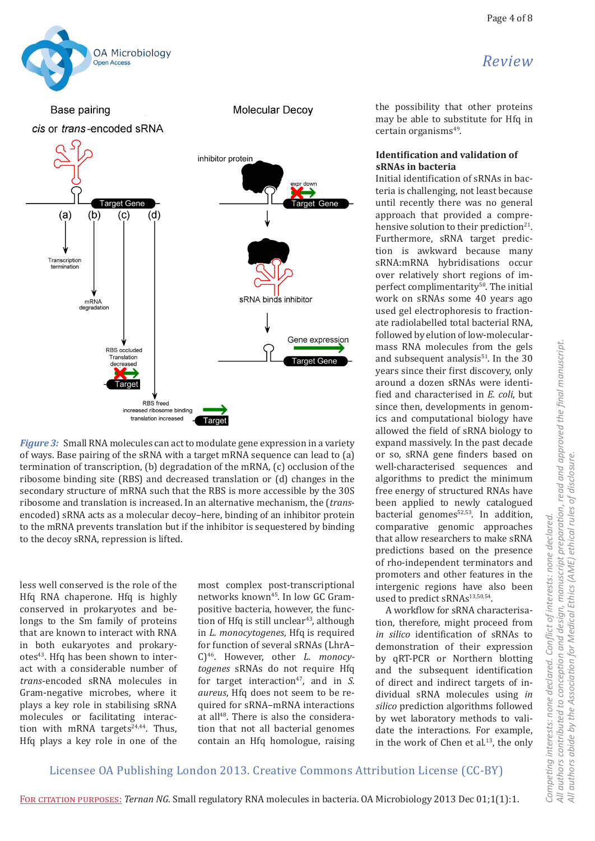



*Figure 3:* Small RNA molecules can act to modulate gene expression in a variety of ways. Base pairing of the sRNA with a target mRNA sequence can lead to (a) termination of transcription, (b) degradation of the mRNA, (c) occlusion of the ribosome binding site (RBS) and decreased translation or (d) changes in the secondary structure of mRNA such that the RBS is more accessible by the 30S ribosome and translation is increased. In an alternative mechanism, the (*trans*encoded) sRNA acts as a molecular decoy–here, binding of an inhibitor protein to the mRNA prevents translation but if the inhibitor is sequestered by binding to the decoy sRNA, repression is lifted.

less well conserved is the role of the Hfq RNA chaperone. Hfq is highly conserved in prokaryotes and belongs to the Sm family of proteins that are known to interact with RNA in both eukaryotes and prokaryotes<sup>43</sup>. Hfq has been shown to interact with a considerable number of *trans*-encoded sRNA molecules in Gram-negative microbes, where it plays a key role in stabilising sRNA molecules or facilitating interaction with mRNA targets $24,44$ . Thus, Hfq plays a key role in one of the

most complex post-transcriptional networks known45. In low GC Grampositive bacteria, however, the function of Hfq is still unclear<sup>43</sup>, although in *L. monocytogenes*, Hfq is required for function of several sRNAs (LhrA– C)46. However, other *L. monocytogenes* sRNAs do not require Hfq for target interaction<sup>47</sup>, and in *S*. *aureus*, Hfq does not seem to be required for sRNA–mRNA interactions at all<sup>48</sup>. There is also the consideration that not all bacterial genomes contain an Hfq homologue, raising the possibility that other proteins may be able to substitute for Hfq in certain organisms<sup>49</sup>.

#### **Identification and validation of sRNAs in bacteria**

Initial identification of sRNAs in bacteria is challenging, not least because until recently there was no general approach that provided a comprehensive solution to their prediction<sup>21</sup>. Furthermore, sRNA target prediction is awkward because many sRNA:mRNA hybridisations occur over relatively short regions of imperfect complimentarity<sup>50</sup>. The initial work on sRNAs some 40 years ago used gel electrophoresis to fractionate radiolabelled total bacterial RNA, followed by elution of low-molecularmass RNA molecules from the gels and subsequent analysis<sup>51</sup>. In the 30 years since their first discovery, only around a dozen sRNAs were identified and characterised in *E. coli*, but since then, developments in genomics and computational biology have allowed the field of sRNA biology to expand massively. In the past decade or so, sRNA gene finders based on well-characterised sequences and algorithms to predict the minimum free energy of structured RNAs have been applied to newly catalogued bacterial genomes<sup>52,53</sup>. In addition, comparative genomic approaches that allow researchers to make sRNA predictions based on the presence of rho-independent terminators and promoters and other features in the intergenic regions have also been used to predict sRNAs<sup>13,50,54</sup>.

A workflow for sRNA characterisation, therefore, might proceed from *in silico* identification of sRNAs to demonstration of their expression by qRT-PCR or Northern blotting and the subsequent identification of direct and indirect targets of individual sRNA molecules using *in silico* prediction algorithms followed by wet laboratory methods to validate the interactions. For example, in the work of Chen et al.<sup>13</sup>, the only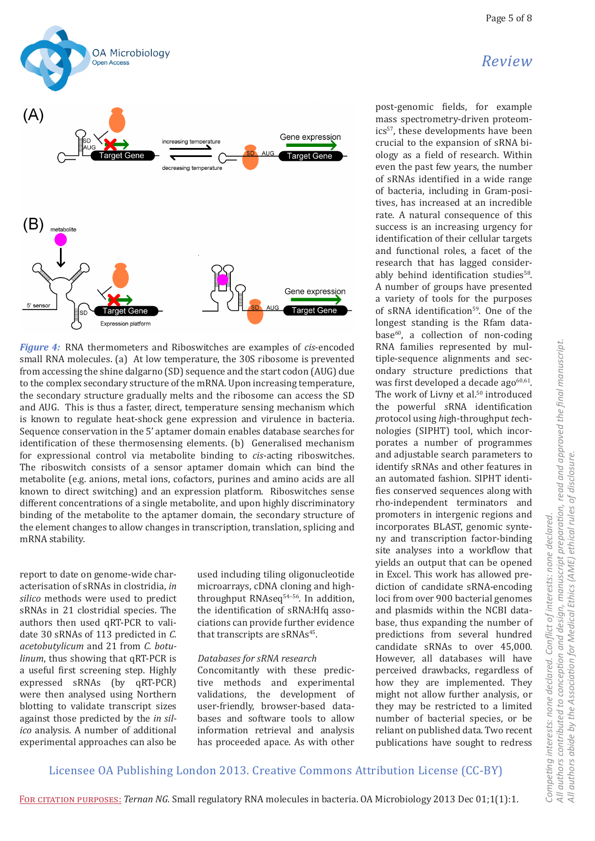



*Figure 4:* RNA thermometers and Riboswitches are examples of *cis*-encoded small RNA molecules. (a) At low temperature, the 30S ribosome is prevented from accessing the shine dalgarno (SD) sequence and the start codon (AUG) due to the complex secondary structure of the mRNA. Upon increasing temperature, the secondary structure gradually melts and the ribosome can access the SD and AUG. This is thus a faster, direct, temperature sensing mechanism which is known to regulate heat-shock gene expression and virulence in bacteria. Sequence conservation in the 5' aptamer domain enables database searches for identification of these thermosensing elements. (b) Generalised mechanism for expressional control via metabolite binding to *cis*-acting riboswitches. The riboswitch consists of a sensor aptamer domain which can bind the metabolite (e.g. anions, metal ions, cofactors, purines and amino acids are all known to direct switching) and an expression platform. Riboswitches sense different concentrations of a single metabolite, and upon highly discriminatory binding of the metabolite to the aptamer domain, the secondary structure of the element changes to allow changes in transcription, translation, splicing and mRNA stability.

report to date on genome-wide characterisation of sRNAs in clostridia, *in silico* methods were used to predict sRNAs in 21 clostridial species. The authors then used qRT-PCR to validate 30 sRNAs of 113 predicted in *C. acetobutylicum* and 21 from *C. botulinum*, thus showing that qRT-PCR is a useful first screening step. Highly expressed sRNAs (by qRT-PCR) were then analysed using Northern blotting to validate transcript sizes against those predicted by the *in silico* analysis. A number of additional experimental approaches can also be

used including tiling oligonucleotide microarrays, cDNA cloning and highthroughput RNAseq<sup>54-56</sup>. In addition, the identification of sRNA:Hfq associations can provide further evidence that transcripts are sRNAs<sup>45</sup>.

#### *Databases for sRNA research*

Concomitantly with these predictive methods and experimental validations, the development of user-friendly, browser-based databases and software tools to allow information retrieval and analysis has proceeded apace. As with other

post-genomic fields, for example mass spectrometry-driven proteomics<sup>57</sup>, these developments have been crucial to the expansion of sRNA biology as a field of research. Within even the past few years, the number of sRNAs identified in a wide range of bacteria, including in Gram-positives, has increased at an incredible rate. A natural consequence of this success is an increasing urgency for identification of their cellular targets and functional roles, a facet of the research that has lagged considerably behind identification studies<sup>58</sup>. A number of groups have presented a variety of tools for the purposes of sRNA identification<sup>59</sup>. One of the longest standing is the Rfam database<sup>60</sup>, a collection of non-coding RNA families represented by multiple-sequence alignments and secondary structure predictions that was first developed a decade ago $60,61$ . The work of Livny et al.<sup>50</sup> introduced the powerful *s*RNA identification *p*rotocol using *h*igh-throughput *t*echnologies (SIPHT) tool, which incorporates a number of programmes and adjustable search parameters to identify sRNAs and other features in an automated fashion. SIPHT identifies conserved sequences along with rho-independent terminators and promoters in intergenic regions and incorporates BLAST, genomic synteny and transcription factor-binding site analyses into a workflow that yields an output that can be opened in Excel. This work has allowed prediction of candidate sRNA-encoding loci from over 900 bacterial genomes and plasmids within the NCBI database, thus expanding the number of predictions from several hundred candidate sRNAs to over 45,000. However, all databases will have perceived drawbacks, regardless of how they are implemented. They might not allow further analysis, or they may be restricted to a limited number of bacterial species, or be reliant on published data. Two recent publications have sought to redress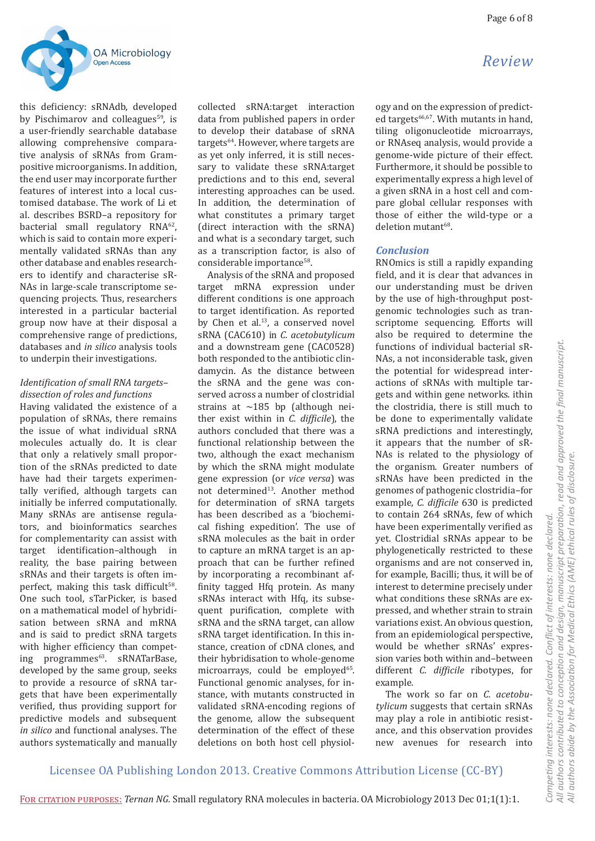

this deficiency: sRNAdb, developed by Pischimarov and colleagues<sup>59</sup>, is a user-friendly searchable database allowing comprehensive comparative analysis of sRNAs from Grampositive microorganisms. In addition, the end user may incorporate further features of interest into a local customised database. The work of Li et al. describes BSRD–a repository for bacterial small regulatory RNA62, which is said to contain more experimentally validated sRNAs than any other database and enables researchers to identify and characterise sR-NAs in large-scale transcriptome sequencing projects. Thus, researchers interested in a particular bacterial group now have at their disposal a comprehensive range of predictions, databases and *in silico* analysis tools to underpin their investigations.

## *Identification of small RNA targets– dissection of roles and functions*

Having validated the existence of a population of sRNAs, there remains the issue of what individual sRNA molecules actually do. It is clear that only a relatively small proportion of the sRNAs predicted to date have had their targets experimentally verified, although targets can initially be inferred computationally. Many sRNAs are antisense regulators, and bioinformatics searches for complementarity can assist with target identification–although in reality, the base pairing between sRNAs and their targets is often imperfect, making this task difficult<sup>58</sup>. One such tool, sTarPicker, is based on a mathematical model of hybridisation between sRNA and mRNA and is said to predict sRNA targets with higher efficiency than competing programmes<sup>63</sup>. sRNATarBase, developed by the same group, seeks to provide a resource of sRNA targets that have been experimentally verified, thus providing support for predictive models and subsequent *in silico* and functional analyses. The authors systematically and manually

collected sRNA:target interaction data from published papers in order to develop their database of sRNA targets<sup>64</sup>. However, where targets are as yet only inferred, it is still necessary to validate these sRNA:target predictions and to this end, several interesting approaches can be used. In addition, the determination of what constitutes a primary target (direct interaction with the sRNA) and what is a secondary target, such as a transcription factor, is also of considerable importance<sup>58</sup>.

Analysis of the sRNA and proposed target mRNA expression under different conditions is one approach to target identification. As reported by Chen et al.<sup>13</sup>, a conserved novel sRNA (CAC610) in *C. acetobutylicum* and a downstream gene (CAC0528) both responded to the antibiotic clindamycin. As the distance between the sRNA and the gene was conserved across a number of clostridial strains at  $\sim$ 185 bp (although neither exist within in *C. difficile*), the authors concluded that there was a functional relationship between the two, although the exact mechanism by which the sRNA might modulate gene expression (or *vice versa*) was not determined<sup>13</sup>. Another method for determination of sRNA targets has been described as a 'biochemical fishing expedition'. The use of sRNA molecules as the bait in order to capture an mRNA target is an approach that can be further refined by incorporating a recombinant affinity tagged Hfq protein. As many sRNAs interact with Hfq, its subsequent purification, complete with sRNA and the sRNA target, can allow sRNA target identification. In this instance, creation of cDNA clones, and their hybridisation to whole-genome microarrays, could be employed<sup>65</sup>. Functional genomic analyses, for instance, with mutants constructed in validated sRNA-encoding regions of the genome, allow the subsequent determination of the effect of these deletions on both host cell physiology and on the expression of predicted targets $66,67$ . With mutants in hand, tiling oligonucleotide microarrays, or RNAseq analysis, would provide a genome-wide picture of their effect. Furthermore, it should be possible to experimentally express a high level of a given sRNA in a host cell and compare global cellular responses with those of either the wild-type or a deletion mutant<sup>68</sup>.

### *Conclusion*

RNOmics is still a rapidly expanding field, and it is clear that advances in our understanding must be driven by the use of high-throughput postgenomic technologies such as transcriptome sequencing. Efforts will also be required to determine the functions of individual bacterial sR-NAs, a not inconsiderable task, given the potential for widespread interactions of sRNAs with multiple targets and within gene networks. ithin the clostridia, there is still much to be done to experimentally validate sRNA predictions and interestingly, it appears that the number of sR-NAs is related to the physiology of the organism. Greater numbers of sRNAs have been predicted in the genomes of pathogenic clostridia–for example, *C. difficile* 630 is predicted to contain 264 sRNAs, few of which have been experimentally verified as yet. Clostridial sRNAs appear to be phylogenetically restricted to these organisms and are not conserved in, for example, Bacilli; thus, it will be of interest to determine precisely under what conditions these sRNAs are expressed, and whether strain to strain variations exist. An obvious question, from an epidemiological perspective, would be whether sRNAs' expression varies both within and–between different *C. difficile* ribotypes, for example.

The work so far on *C. acetobutylicum* suggests that certain sRNAs may play a role in antibiotic resistance, and this observation provides new avenues for research into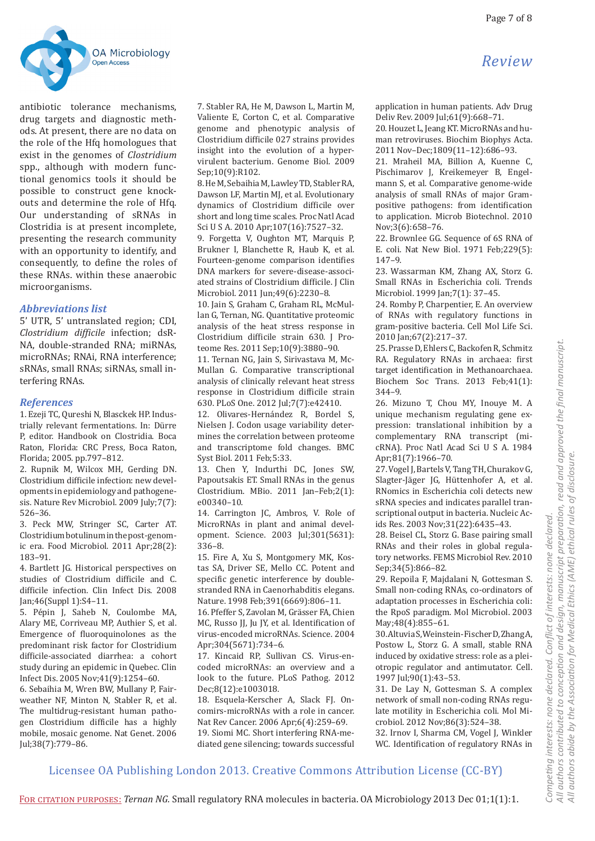

antibiotic tolerance mechanisms, drug targets and diagnostic methods. At present, there are no data on the role of the Hfq homologues that exist in the genomes of *Clostridium* spp., although with modern functional genomics tools it should be possible to construct gene knockouts and determine the role of Hfq. Our understanding of sRNAs in Clostridia is at present incomplete, presenting the research community with an opportunity to identify, and consequently, to define the roles of these RNAs. within these anaerobic microorganisms.

## *Abbreviations list*

5' UTR, 5' untranslated region; CDI, *Clostridium difficile* infection; dsR-NA, double-stranded RNA; miRNAs, microRNAs; RNAi, RNA interference; sRNAs, small RNAs; siRNAs, small interfering RNAs.

### *References*

1. Ezeji TC, Qureshi N, Blasckek HP. Industrially relevant fermentations. In: Dürre P, editor. Handbook on Clostridia. Boca Raton, Florida: CRC Press, Boca Raton, Florida; 2005. pp.797–812.

2. Rupnik M, Wilcox MH, Gerding DN. Clostridium difficile infection: new developments in epidemiology and pathogenesis. Nature Rev Microbiol. 2009 July;7(7): 526–36.

3. Peck MW, Stringer SC, Carter AT. Clostridium botulinum in the post-genomic era. Food Microbiol. 2011 Apr;28(2): 183–91.

4. Bartlett JG. Historical perspectives on studies of Clostridium difficile and C. difficile infection. Clin Infect Dis. 2008 Jan;46(Suppl 1):S4–11.

5. Pépin J, Saheb N, Coulombe MA, Alary ME, Corriveau MP, Authier S, et al. Emergence of fluoroquinolones as the predominant risk factor for Clostridium difficile-associated diarrhea: a cohort study during an epidemic in Quebec. Clin Infect Dis. 2005 Nov;41(9):1254–60.

6. Sebaihia M, Wren BW, Mullany P, Fairweather NF, Minton N, Stabler R, et al. The multidrug-resistant human pathogen Clostridium difficile has a highly mobile, mosaic genome. Nat Genet. 2006 Jul;38(7):779–86.

7. Stabler RA, He M, Dawson L, Martin M, Valiente E, Corton C, et al. Comparative genome and phenotypic analysis of Clostridium difficile 027 strains provides insight into the evolution of a hypervirulent bacterium. Genome Biol. 2009 Sep;10(9):R102.

8. He M, Sebaihia M, Lawley TD, Stabler RA, Dawson LF, Martin MJ, et al. Evolutionary dynamics of Clostridium difficile over short and long time scales. Proc Natl Acad Sci U S A. 2010 Apr;107(16):7527–32.

9. Forgetta V, Oughton MT, Marquis P, Brukner I, Blanchette R, Haub K, et al. Fourteen-genome comparison identifies DNA markers for severe-disease-associated strains of Clostridium difficile. J Clin Microbiol. 2011 Jun;49(6):2230–8.

10. Jain S, Graham C, Graham RL, McMullan G, Ternan, NG. Quantitative proteomic analysis of the heat stress response in Clostridium difficile strain 630. J Proteome Res. 2011 Sep;10(9):3880–90.

11. Ternan NG, Jain S, Sirivastava M, Mc-Mullan G. Comparative transcriptional analysis of clinically relevant heat stress response in Clostridium difficile strain 630. PLoS One. 2012 Jul;7(7):e42410.

12. Olivares-Hernández R, Bordel S, Nielsen J. Codon usage variability determines the correlation between proteome and transcriptome fold changes. BMC Syst Biol. 2011 Feb;5:33.

13. Chen Y, Indurthi DC, Jones SW, Papoutsakis ET. Small RNAs in the genus Clostridium. MBio. 2011 Jan–Feb;2(1): e00340–10.

14. Carrington JC, Ambros, V. Role of MicroRNAs in plant and animal development. Science. 2003 Jul;301(5631): 336–8.

15. Fire A, Xu S, Montgomery MK, Kostas SA, Driver SE, Mello CC. Potent and specific genetic interference by doublestranded RNA in Caenorhabditis elegans. Nature. 1998 Feb;391(6669):806–11.

16. Pfeffer S, Zavolan M, Grässer FA, Chien MC, Russo JJ, Ju JY, et al. Identification of virus-encoded microRNAs. Science. 2004 Apr;304(5671):734–6.

17. Kincaid RP, Sullivan CS. Virus-encoded microRNAs: an overview and a look to the future. PLoS Pathog. 2012 Dec;8(12):e1003018.

18. Esquela-Kerscher A, Slack FJ. Oncomirs-microRNAs with a role in cancer. Nat Rev Cancer. 2006 Apr;6(4):259–69. 19. Siomi MC. Short interfering RNA-mediated gene silencing; towards successful application in human patients. Adv Drug Deliv Rev. 2009 Jul;61(9):668–71.

20. Houzet L, Jeang KT. MicroRNAs and human retroviruses. Biochim Biophys Acta. 2011 Nov–Dec;1809(11–12):686–93.

21. Mraheil MA, Billion A, Kuenne C, Pischimarov J, Kreikemeyer B, Engelmann S, et al. Comparative genome-wide analysis of small RNAs of major Grampositive pathogens: from identification to application. Microb Biotechnol. 2010 Nov;3(6):658–76.

22. Brownlee GG. Sequence of 6S RNA of E. coli. Nat New Biol. 1971 Feb;229(5): 147–9.

23. Wassarman KM, Zhang AX, Storz G. Small RNAs in Escherichia coli*.* Trends Microbiol. 1999 Jan;7(1): 37–45.

24. Romby P, Charpentier, E. An overview of RNAs with regulatory functions in gram-positive bacteria. Cell Mol Life Sci. 2010 Jan;67(2):217–37.

25. Prasse D, Ehlers C, Backofen R, Schmitz RA. Regulatory RNAs in archaea: first target identification in Methanoarchaea. Biochem Soc Trans. 2013 Feb;41(1): 344–9.

26. Mizuno T, Chou MY, Inouye M. A unique mechanism regulating gene expression: translational inhibition by a complementary RNA transcript (micRNA). Proc Natl Acad Sci U S A. 1984 Apr;81(7):1966–70.

27. Vogel J, Bartels V, Tang TH, Churakov G, Slagter-Jäger JG, Hüttenhofer A, et al. RNomics in Escherichia coli detects new sRNA species and indicates parallel transcriptional output in bacteria. Nucleic Acids Res. 2003 Nov;31(22):6435–43.

28. Beisel CL, Storz G. Base pairing small RNAs and their roles in global regulatory networks. FEMS Microbiol Rev. 2010 Sep;34(5):866–82.

29. Repoila F, Majdalani N, Gottesman S. Small non-coding RNAs, co-ordinators of adaptation processes in Escherichia coli: the RpoS paradigm. Mol Microbiol. 2003 May;48(4):855–61.

30. Altuvia S, Weinstein-Fischer D, Zhang A, Postow L, Storz G. A small, stable RNA induced by oxidative stress: role as a pleiotropic regulator and antimutator. Cell. 1997 Jul;90(1):43–53.

31. De Lay N, Gottesman S. A complex network of small non-coding RNAs regulate motility in Escherichia coli. Mol Microbiol. 2012 Nov;86(3):524–38.

32. Irnov I, Sharma CM, Vogel J, Winkler WC. Identification of regulatory RNAs in